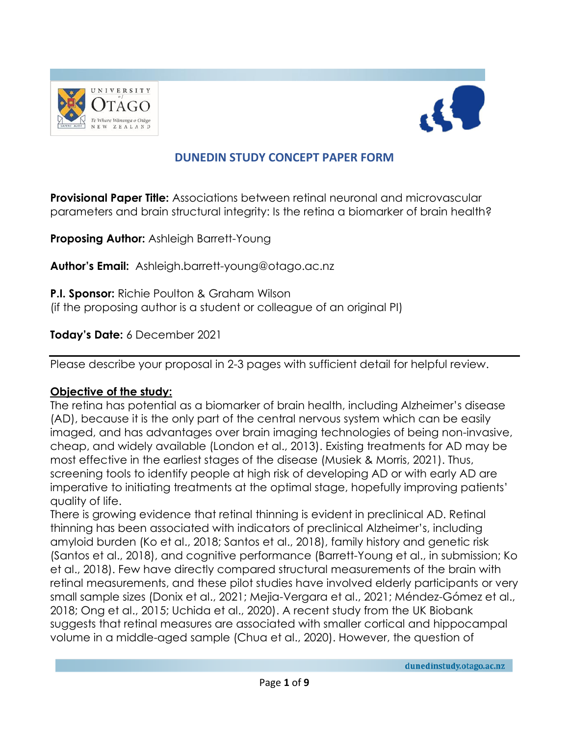



# **DUNEDIN STUDY CONCEPT PAPER FORM**

**Provisional Paper Title:** Associations between retinal neuronal and microvascular parameters and brain structural integrity: Is the retina a biomarker of brain health?

**Proposing Author:** Ashleigh Barrett-Young

**Author's Email:** Ashleigh.barrett-young@otago.ac.nz

**P.I. Sponsor:** Richie Poulton & Graham Wilson (if the proposing author is a student or colleague of an original PI)

**Today's Date:** 6 December 2021

Please describe your proposal in 2-3 pages with sufficient detail for helpful review.

#### **Objective of the study:**

The retina has potential as a biomarker of brain health, including Alzheimer's disease (AD), because it is the only part of the central nervous system which can be easily imaged, and has advantages over brain imaging technologies of being non-invasive, cheap, and widely available (London et al., 2013). Existing treatments for AD may be most effective in the earliest stages of the disease (Musiek & Morris, 2021). Thus, screening tools to identify people at high risk of developing AD or with early AD are imperative to initiating treatments at the optimal stage, hopefully improving patients' quality of life.

There is growing evidence that retinal thinning is evident in preclinical AD. Retinal thinning has been associated with indicators of preclinical Alzheimer's, including amyloid burden (Ko et al., 2018; Santos et al., 2018), family history and genetic risk (Santos et al., 2018), and cognitive performance (Barrett-Young et al., in submission; Ko et al., 2018). Few have directly compared structural measurements of the brain with retinal measurements, and these pilot studies have involved elderly participants or very small sample sizes (Donix et al., 2021; Mejia-Vergara et al., 2021; Méndez-Gómez et al., 2018; Ong et al., 2015; Uchida et al., 2020). A recent study from the UK Biobank suggests that retinal measures are associated with smaller cortical and hippocampal volume in a middle-aged sample (Chua et al., 2020). However, the question of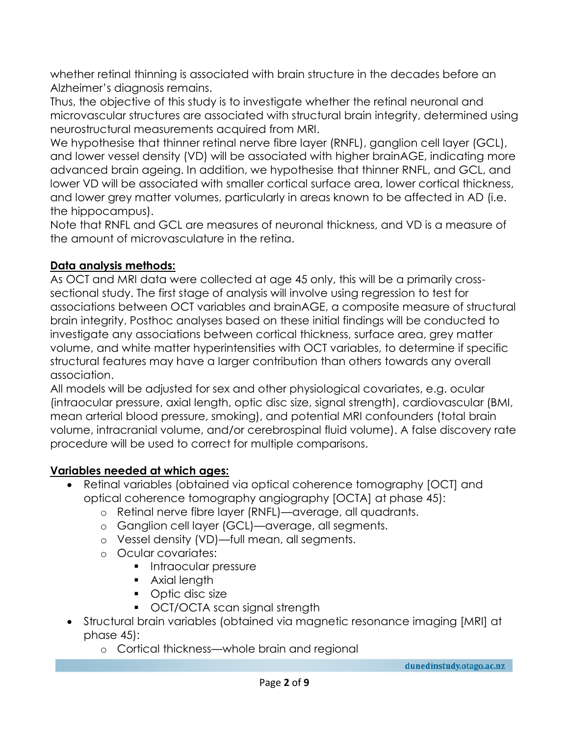whether retinal thinning is associated with brain structure in the decades before an Alzheimer's diagnosis remains.

Thus, the objective of this study is to investigate whether the retinal neuronal and microvascular structures are associated with structural brain integrity, determined using neurostructural measurements acquired from MRI.

We hypothesise that thinner retinal nerve fibre layer (RNFL), ganglion cell layer (GCL), and lower vessel density (VD) will be associated with higher brainAGE, indicating more advanced brain ageing. In addition, we hypothesise that thinner RNFL, and GCL, and lower VD will be associated with smaller cortical surface area, lower cortical thickness, and lower grey matter volumes, particularly in areas known to be affected in AD (i.e. the hippocampus).

Note that RNFL and GCL are measures of neuronal thickness, and VD is a measure of the amount of microvasculature in the retina.

## **Data analysis methods:**

As OCT and MRI data were collected at age 45 only, this will be a primarily crosssectional study. The first stage of analysis will involve using regression to test for associations between OCT variables and brainAGE, a composite measure of structural brain integrity. Posthoc analyses based on these initial findings will be conducted to investigate any associations between cortical thickness, surface area, grey matter volume, and white matter hyperintensities with OCT variables, to determine if specific structural features may have a larger contribution than others towards any overall association.

All models will be adjusted for sex and other physiological covariates, e.g. ocular (intraocular pressure, axial length, optic disc size, signal strength), cardiovascular (BMI, mean arterial blood pressure, smoking), and potential MRI confounders (total brain volume, intracranial volume, and/or cerebrospinal fluid volume). A false discovery rate procedure will be used to correct for multiple comparisons.

## **Variables needed at which ages:**

- Retinal variables (obtained via optical coherence tomography [OCT] and optical coherence tomography angiography [OCTA] at phase 45):
	- o Retinal nerve fibre layer (RNFL)—average, all quadrants.
	- o Ganglion cell layer (GCL)—average, all segments.
	- o Vessel density (VD)—full mean, all segments.
	- o Ocular covariates:
		- **Intraocular pressure**
		- **Axial length**
		- Optic disc size
		- OCT/OCTA scan signal strength
- Structural brain variables (obtained via magnetic resonance imaging [MRI] at phase 45):
	- o Cortical thickness—whole brain and regional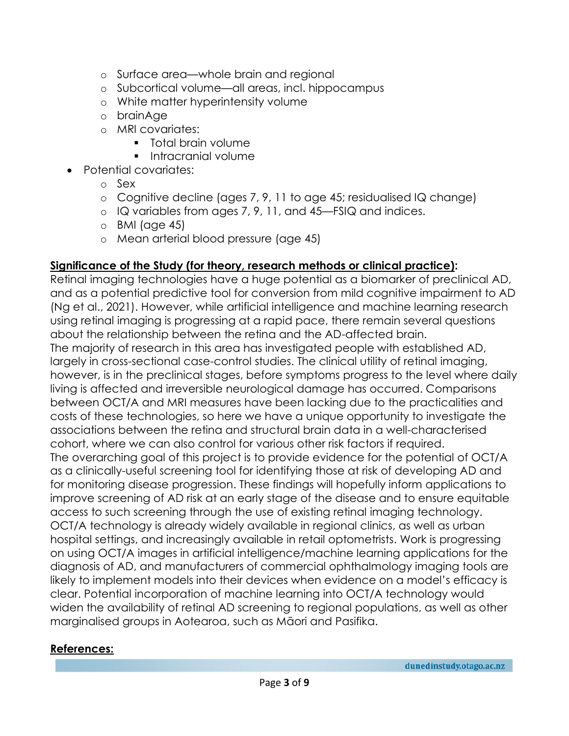- o Surface area—whole brain and regional
- o Subcortical volume—all areas, incl. hippocampus
- o White matter hyperintensity volume
- o brainAge
- o MRI covariates:
	- **Total brain volume**
	- **Intracranial volume**
- Potential covariates:
	- o Sex
	- o Cognitive decline (ages 7, 9, 11 to age 45; residualised IQ change)
	- o IQ variables from ages 7, 9, 11, and 45—FSIQ and indices.
	- o BMI (age 45)
	- o Mean arterial blood pressure (age 45)

### **Significance of the Study (for theory, research methods or clinical practice):**

Retinal imaging technologies have a huge potential as a biomarker of preclinical AD, and as a potential predictive tool for conversion from mild cognitive impairment to AD (Ng et al., 2021). However, while artificial intelligence and machine learning research using retinal imaging is progressing at a rapid pace, there remain several questions about the relationship between the retina and the AD-affected brain. The majority of research in this area has investigated people with established AD, largely in cross-sectional case-control studies. The clinical utility of retinal imaging, however, is in the preclinical stages, before symptoms progress to the level where daily living is affected and irreversible neurological damage has occurred. Comparisons between OCT/A and MRI measures have been lacking due to the practicalities and costs of these technologies, so here we have a unique opportunity to investigate the associations between the retina and structural brain data in a well-characterised cohort, where we can also control for various other risk factors if required. The overarching goal of this project is to provide evidence for the potential of OCT/A as a clinically-useful screening tool for identifying those at risk of developing AD and for monitoring disease progression. These findings will hopefully inform applications to improve screening of AD risk at an early stage of the disease and to ensure equitable access to such screening through the use of existing retinal imaging technology. OCT/A technology is already widely available in regional clinics, as well as urban hospital settings, and increasingly available in retail optometrists. Work is progressing on using OCT/A images in artificial intelligence/machine learning applications for the diagnosis of AD, and manufacturers of commercial ophthalmology imaging tools are likely to implement models into their devices when evidence on a model's efficacy is clear. Potential incorporation of machine learning into OCT/A technology would widen the availability of retinal AD screening to regional populations, as well as other marginalised groups in Aotearoa, such as Māori and Pasifika.

## **References:**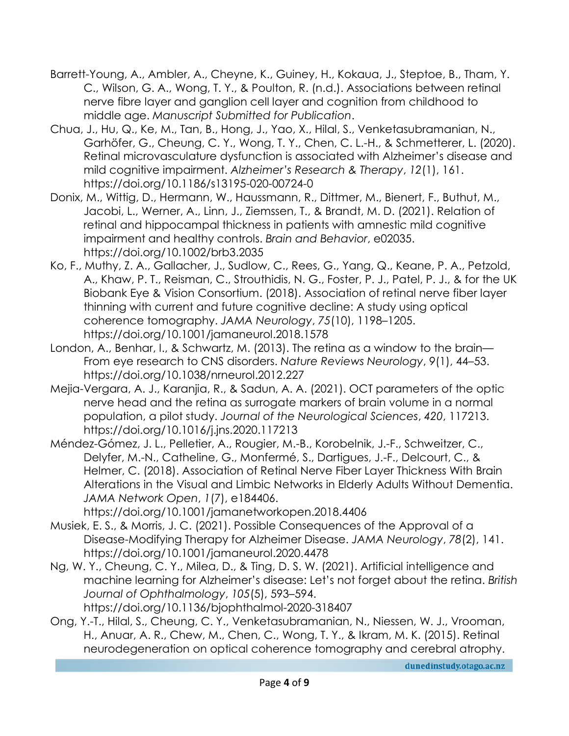- Barrett-Young, A., Ambler, A., Cheyne, K., Guiney, H., Kokaua, J., Steptoe, B., Tham, Y. C., Wilson, G. A., Wong, T. Y., & Poulton, R. (n.d.). Associations between retinal nerve fibre layer and ganglion cell layer and cognition from childhood to middle age. *Manuscript Submitted for Publication*.
- Chua, J., Hu, Q., Ke, M., Tan, B., Hong, J., Yao, X., Hilal, S., Venketasubramanian, N., Garhöfer, G., Cheung, C. Y., Wong, T. Y., Chen, C. L.-H., & Schmetterer, L. (2020). Retinal microvasculature dysfunction is associated with Alzheimer's disease and mild cognitive impairment. *Alzheimer's Research & Therapy*, *12*(1), 161. https://doi.org/10.1186/s13195-020-00724-0
- Donix, M., Wittig, D., Hermann, W., Haussmann, R., Dittmer, M., Bienert, F., Buthut, M., Jacobi, L., Werner, A., Linn, J., Ziemssen, T., & Brandt, M. D. (2021). Relation of retinal and hippocampal thickness in patients with amnestic mild cognitive impairment and healthy controls. *Brain and Behavior*, e02035. https://doi.org/10.1002/brb3.2035
- Ko, F., Muthy, Z. A., Gallacher, J., Sudlow, C., Rees, G., Yang, Q., Keane, P. A., Petzold, A., Khaw, P. T., Reisman, C., Strouthidis, N. G., Foster, P. J., Patel, P. J., & for the UK Biobank Eye & Vision Consortium. (2018). Association of retinal nerve fiber layer thinning with current and future cognitive decline: A study using optical coherence tomography. *JAMA Neurology*, *75*(10), 1198–1205. https://doi.org/10.1001/jamaneurol.2018.1578
- London, A., Benhar, I., & Schwartz, M. (2013). The retina as a window to the brain— From eye research to CNS disorders. *Nature Reviews Neurology*, *9*(1), 44–53. https://doi.org/10.1038/nrneurol.2012.227
- Mejia-Vergara, A. J., Karanjia, R., & Sadun, A. A. (2021). OCT parameters of the optic nerve head and the retina as surrogate markers of brain volume in a normal population, a pilot study. *Journal of the Neurological Sciences*, *420*, 117213. https://doi.org/10.1016/j.jns.2020.117213
- Méndez-Gómez, J. L., Pelletier, A., Rougier, M.-B., Korobelnik, J.-F., Schweitzer, C., Delyfer, M.-N., Catheline, G., Monfermé, S., Dartigues, J.-F., Delcourt, C., & Helmer, C. (2018). Association of Retinal Nerve Fiber Layer Thickness With Brain Alterations in the Visual and Limbic Networks in Elderly Adults Without Dementia. *JAMA Network Open*, *1*(7), e184406.

https://doi.org/10.1001/jamanetworkopen.2018.4406

- Musiek, E. S., & Morris, J. C. (2021). Possible Consequences of the Approval of a Disease-Modifying Therapy for Alzheimer Disease. *JAMA Neurology*, *78*(2), 141. https://doi.org/10.1001/jamaneurol.2020.4478
- Ng, W. Y., Cheung, C. Y., Milea, D., & Ting, D. S. W. (2021). Artificial intelligence and machine learning for Alzheimer's disease: Let's not forget about the retina. *British Journal of Ophthalmology*, *105*(5), 593–594. https://doi.org/10.1136/bjophthalmol-2020-318407
- Ong, Y.-T., Hilal, S., Cheung, C. Y., Venketasubramanian, N., Niessen, W. J., Vrooman, H., Anuar, A. R., Chew, M., Chen, C., Wong, T. Y., & Ikram, M. K. (2015). Retinal neurodegeneration on optical coherence tomography and cerebral atrophy.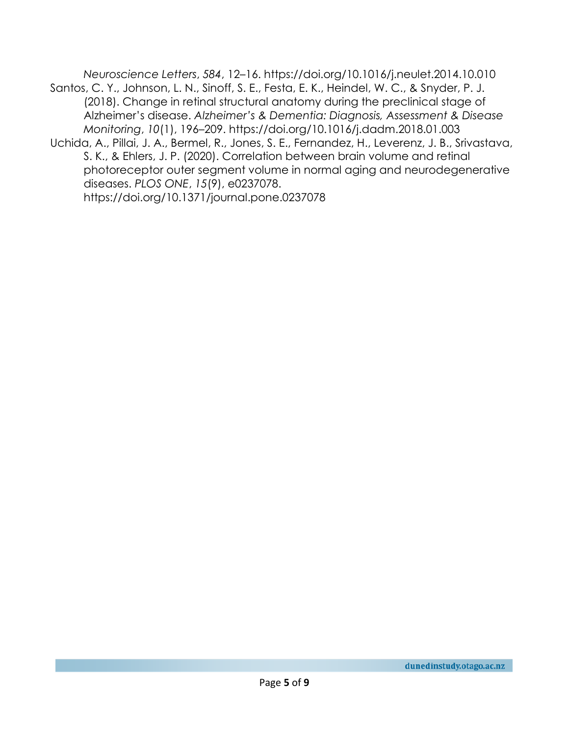*Neuroscience Letters*, *584*, 12–16. https://doi.org/10.1016/j.neulet.2014.10.010 Santos, C. Y., Johnson, L. N., Sinoff, S. E., Festa, E. K., Heindel, W. C., & Snyder, P. J.

- (2018). Change in retinal structural anatomy during the preclinical stage of Alzheimer's disease. *Alzheimer's & Dementia: Diagnosis, Assessment & Disease Monitoring*, *10*(1), 196–209. https://doi.org/10.1016/j.dadm.2018.01.003
- Uchida, A., Pillai, J. A., Bermel, R., Jones, S. E., Fernandez, H., Leverenz, J. B., Srivastava, S. K., & Ehlers, J. P. (2020). Correlation between brain volume and retinal photoreceptor outer segment volume in normal aging and neurodegenerative diseases. *PLOS ONE*, *15*(9), e0237078. https://doi.org/10.1371/journal.pone.0237078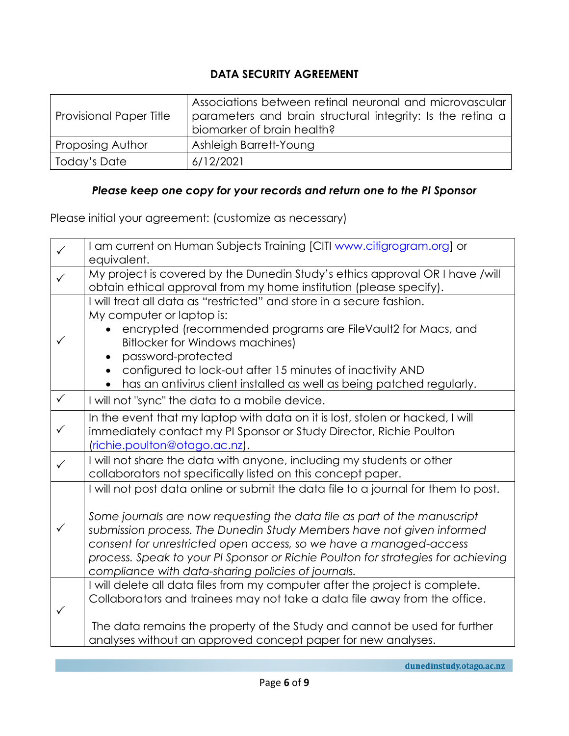## **DATA SECURITY AGREEMENT**

| <b>Provisional Paper Title</b> | Associations between retinal neuronal and microvascular<br>parameters and brain structural integrity: Is the retina a<br>biomarker of brain health? |
|--------------------------------|-----------------------------------------------------------------------------------------------------------------------------------------------------|
| <b>Proposing Author</b>        | Ashleigh Barrett-Young                                                                                                                              |
| Today's Date                   | 6/12/2021                                                                                                                                           |

## *Please keep one copy for your records and return one to the PI Sponsor*

Please initial your agreement: (customize as necessary)

| $\checkmark$ | I am current on Human Subjects Training [CITI www.citigrogram.org] or<br>equivalent.                                                                                                                                                                                                                                                                                                                                                                   |
|--------------|--------------------------------------------------------------------------------------------------------------------------------------------------------------------------------------------------------------------------------------------------------------------------------------------------------------------------------------------------------------------------------------------------------------------------------------------------------|
|              | My project is covered by the Dunedin Study's ethics approval OR I have /will<br>obtain ethical approval from my home institution (please specify).                                                                                                                                                                                                                                                                                                     |
|              | I will treat all data as "restricted" and store in a secure fashion.<br>My computer or laptop is:<br>encrypted (recommended programs are FileVault2 for Macs, and<br><b>Bitlocker for Windows machines)</b><br>password-protected<br>configured to lock-out after 15 minutes of inactivity AND<br>has an antivirus client installed as well as being patched regularly.<br>$\bullet$                                                                   |
| $\checkmark$ | I will not "sync" the data to a mobile device.                                                                                                                                                                                                                                                                                                                                                                                                         |
| $\checkmark$ | In the event that my laptop with data on it is lost, stolen or hacked, I will<br>immediately contact my PI Sponsor or Study Director, Richie Poulton<br>(richie.poulton@otago.ac.nz).                                                                                                                                                                                                                                                                  |
| $\checkmark$ | I will not share the data with anyone, including my students or other<br>collaborators not specifically listed on this concept paper.                                                                                                                                                                                                                                                                                                                  |
| ✓            | I will not post data online or submit the data file to a journal for them to post.<br>Some journals are now requesting the data file as part of the manuscript<br>submission process. The Dunedin Study Members have not given informed<br>consent for unrestricted open access, so we have a managed-access<br>process. Speak to your PI Sponsor or Richie Poulton for strategies for achieving<br>compliance with data-sharing policies of journals. |
|              | I will delete all data files from my computer after the project is complete.<br>Collaborators and trainees may not take a data file away from the office.<br>The data remains the property of the Study and cannot be used for further<br>analyses without an approved concept paper for new analyses.                                                                                                                                                 |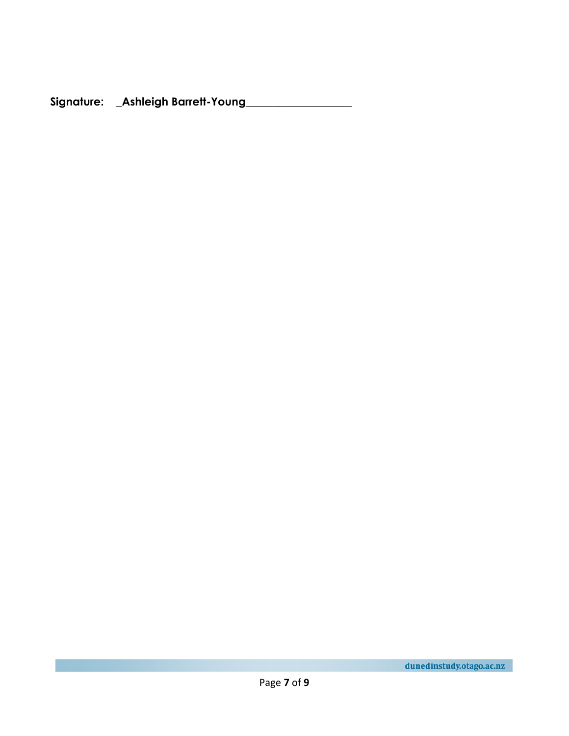**Signature: \_Ashleigh Barrett-Young\_\_\_\_\_\_\_\_\_\_\_\_\_\_\_\_\_\_\_**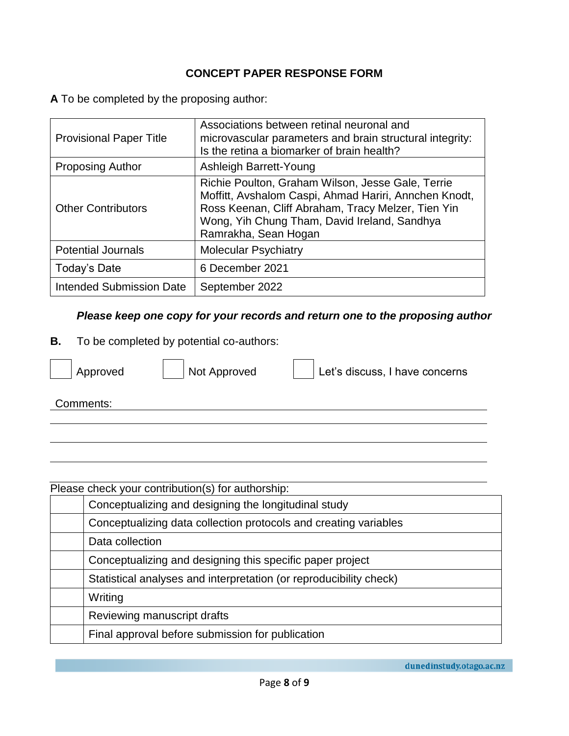### **CONCEPT PAPER RESPONSE FORM**

**A** To be completed by the proposing author:

| <b>Provisional Paper Title</b>  | Associations between retinal neuronal and<br>microvascular parameters and brain structural integrity:<br>Is the retina a biomarker of brain health?                                                                                      |
|---------------------------------|------------------------------------------------------------------------------------------------------------------------------------------------------------------------------------------------------------------------------------------|
| <b>Proposing Author</b>         | Ashleigh Barrett-Young                                                                                                                                                                                                                   |
| <b>Other Contributors</b>       | Richie Poulton, Graham Wilson, Jesse Gale, Terrie<br>Moffitt, Avshalom Caspi, Ahmad Hariri, Annchen Knodt,<br>Ross Keenan, Cliff Abraham, Tracy Melzer, Tien Yin<br>Wong, Yih Chung Tham, David Ireland, Sandhya<br>Ramrakha, Sean Hogan |
| <b>Potential Journals</b>       | <b>Molecular Psychiatry</b>                                                                                                                                                                                                              |
| Today's Date                    | 6 December 2021                                                                                                                                                                                                                          |
| <b>Intended Submission Date</b> | September 2022                                                                                                                                                                                                                           |

### *Please keep one copy for your records and return one to the proposing author*

**B.** To be completed by potential co-authors:



Approved Not Approved Let's discuss, I have concerns

Comments:

| Please check your contribution(s) for authorship: |                                                                    |  |
|---------------------------------------------------|--------------------------------------------------------------------|--|
|                                                   | Conceptualizing and designing the longitudinal study               |  |
|                                                   | Conceptualizing data collection protocols and creating variables   |  |
|                                                   | Data collection                                                    |  |
|                                                   | Conceptualizing and designing this specific paper project          |  |
|                                                   | Statistical analyses and interpretation (or reproducibility check) |  |
|                                                   | Writing                                                            |  |
|                                                   | Reviewing manuscript drafts                                        |  |
|                                                   | Final approval before submission for publication                   |  |